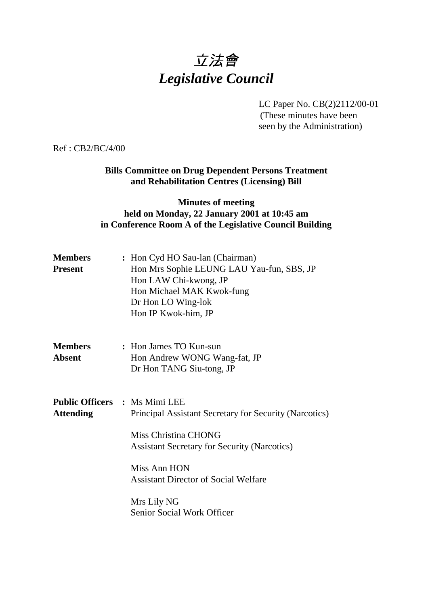# 立法會 *Legislative Council*

LC Paper No. CB(2)2112/00-01

(These minutes have been seen by the Administration)

Ref : CB2/BC/4/00

**Bills Committee on Drug Dependent Persons Treatment and Rehabilitation Centres (Licensing) Bill**

## **Minutes of meeting held on Monday, 22 January 2001 at 10:45 am in Conference Room A of the Legislative Council Building**

| <b>Members</b><br><b>Present</b> | : Hon Cyd HO Sau-lan (Chairman)<br>Hon Mrs Sophie LEUNG LAU Yau-fun, SBS, JP<br>Hon LAW Chi-kwong, JP<br>Hon Michael MAK Kwok-fung<br>Dr Hon LO Wing-lok<br>Hon IP Kwok-him, JP                                                                                                                  |
|----------------------------------|--------------------------------------------------------------------------------------------------------------------------------------------------------------------------------------------------------------------------------------------------------------------------------------------------|
| <b>Members</b><br><b>Absent</b>  | : Hon James TO Kun-sun<br>Hon Andrew WONG Wang-fat, JP<br>Dr Hon TANG Siu-tong, JP                                                                                                                                                                                                               |
| <b>Attending</b>                 | <b>Public Officers : Ms Mimi LEE</b><br>Principal Assistant Secretary for Security (Narcotics)<br>Miss Christina CHONG<br><b>Assistant Secretary for Security (Narcotics)</b><br>Miss Ann HON<br><b>Assistant Director of Social Welfare</b><br>Mrs Lily NG<br><b>Senior Social Work Officer</b> |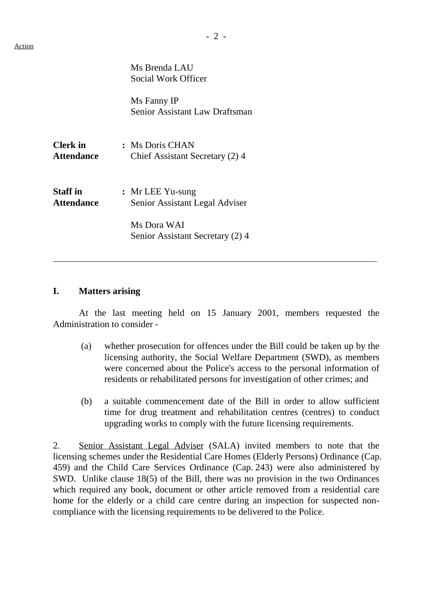|                                      | Ms Brenda LAU<br>Social Work Officer                 |
|--------------------------------------|------------------------------------------------------|
|                                      | Ms Fanny IP<br><b>Senior Assistant Law Draftsman</b> |
| <b>Clerk</b> in<br><b>Attendance</b> | : Ms Doris CHAN<br>Chief Assistant Secretary (2) 4   |
| <b>Staff</b> in<br><b>Attendance</b> | $:$ Mr LEE Yu-sung<br>Senior Assistant Legal Adviser |
|                                      | Ms Dora WAI<br>Senior Assistant Secretary (2) 4      |

#### **I. Matters arising**

 $\overline{a}$ 

At the last meeting held on 15 January 2001, members requested the Administration to consider -

- (a) whether prosecution for offences under the Bill could be taken up by the licensing authority, the Social Welfare Department (SWD), as members were concerned about the Police's access to the personal information of residents or rehabilitated persons for investigation of other crimes; and
- (b) a suitable commencement date of the Bill in order to allow sufficient time for drug treatment and rehabilitation centres (centres) to conduct upgrading works to comply with the future licensing requirements.

2. Senior Assistant Legal Adviser (SALA) invited members to note that the licensing schemes under the Residential Care Homes (Elderly Persons) Ordinance (Cap. 459) and the Child Care Services Ordinance (Cap. 243) were also administered by SWD. Unlike clause 18(5) of the Bill, there was no provision in the two Ordinances which required any book, document or other article removed from a residential care home for the elderly or a child care centre during an inspection for suspected noncompliance with the licensing requirements to be delivered to the Police.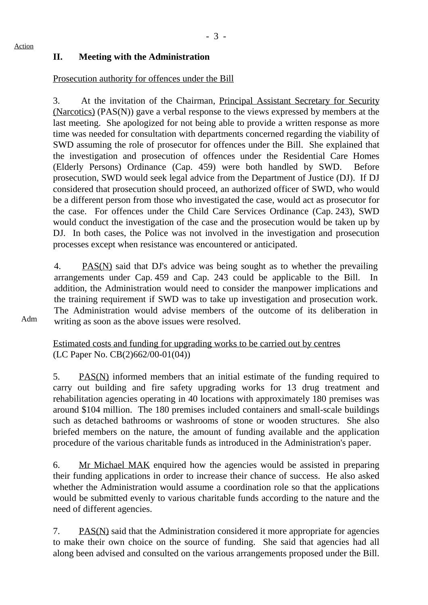## **II. Meeting with the Administration**

#### Prosecution authority for offences under the Bill

3. At the invitation of the Chairman, Principal Assistant Secretary for Security (Narcotics) (PAS(N)) gave a verbal response to the views expressed by members at the last meeting. She apologized for not being able to provide a written response as more time was needed for consultation with departments concerned regarding the viability of SWD assuming the role of prosecutor for offences under the Bill. She explained that the investigation and prosecution of offences under the Residential Care Homes (Elderly Persons) Ordinance (Cap. 459) were both handled by SWD. Before prosecution, SWD would seek legal advice from the Department of Justice (DJ). If DJ considered that prosecution should proceed, an authorized officer of SWD, who would be a different person from those who investigated the case, would act as prosecutor for the case. For offences under the Child Care Services Ordinance (Cap. 243), SWD would conduct the investigation of the case and the prosecution would be taken up by DJ. In both cases, the Police was not involved in the investigation and prosecution processes except when resistance was encountered or anticipated.

4. PAS(N) said that DJ's advice was being sought as to whether the prevailing arrangements under Cap. 459 and Cap. 243 could be applicable to the Bill. In addition, the Administration would need to consider the manpower implications and the training requirement if SWD was to take up investigation and prosecution work. The Administration would advise members of the outcome of its deliberation in writing as soon as the above issues were resolved.

Adm

Estimated costs and funding for upgrading works to be carried out by centres (LC Paper No. CB(2)662/00-01(04))

5. PAS(N) informed members that an initial estimate of the funding required to carry out building and fire safety upgrading works for 13 drug treatment and rehabilitation agencies operating in 40 locations with approximately 180 premises was around \$104 million. The 180 premises included containers and small-scale buildings such as detached bathrooms or washrooms of stone or wooden structures. She also briefed members on the nature, the amount of funding available and the application procedure of the various charitable funds as introduced in the Administration's paper.

6. Mr Michael MAK enquired how the agencies would be assisted in preparing their funding applications in order to increase their chance of success. He also asked whether the Administration would assume a coordination role so that the applications would be submitted evenly to various charitable funds according to the nature and the need of different agencies.

7. PAS(N) said that the Administration considered it more appropriate for agencies to make their own choice on the source of funding. She said that agencies had all along been advised and consulted on the various arrangements proposed under the Bill.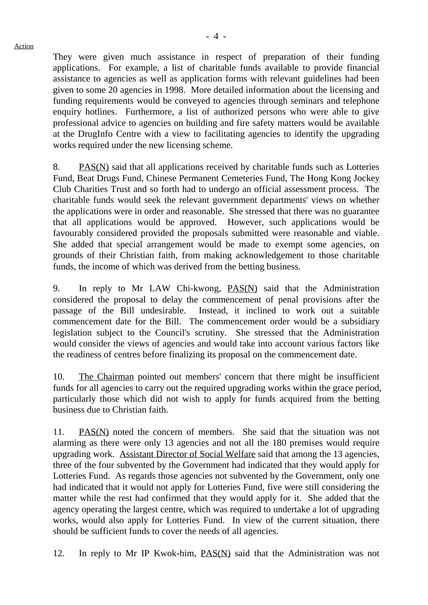They were given much assistance in respect of preparation of their funding applications. For example, a list of charitable funds available to provide financial assistance to agencies as well as application forms with relevant guidelines had been given to some 20 agencies in 1998. More detailed information about the licensing and funding requirements would be conveyed to agencies through seminars and telephone enquiry hotlines. Furthermore, a list of authorized persons who were able to give professional advice to agencies on building and fire safety matters would be available at the DrugInfo Centre with a view to facilitating agencies to identify the upgrading works required under the new licensing scheme.

8. PAS(N) said that all applications received by charitable funds such as Lotteries Fund, Beat Drugs Fund, Chinese Permanent Cemeteries Fund, The Hong Kong Jockey Club Charities Trust and so forth had to undergo an official assessment process. The charitable funds would seek the relevant government departments' views on whether the applications were in order and reasonable. She stressed that there was no guarantee that all applications would be approved. However, such applications would be favourably considered provided the proposals submitted were reasonable and viable. She added that special arrangement would be made to exempt some agencies, on grounds of their Christian faith, from making acknowledgement to those charitable funds, the income of which was derived from the betting business.

9. In reply to Mr LAW Chi-kwong, PAS(N) said that the Administration considered the proposal to delay the commencement of penal provisions after the passage of the Bill undesirable. Instead, it inclined to work out a suitable commencement date for the Bill. The commencement order would be a subsidiary legislation subject to the Council's scrutiny. She stressed that the Administration would consider the views of agencies and would take into account various factors like the readiness of centres before finalizing its proposal on the commencement date.

10. The Chairman pointed out members' concern that there might be insufficient funds for all agencies to carry out the required upgrading works within the grace period, particularly those which did not wish to apply for funds acquired from the betting business due to Christian faith.

11. PAS(N) noted the concern of members. She said that the situation was not alarming as there were only 13 agencies and not all the 180 premises would require upgrading work. Assistant Director of Social Welfare said that among the 13 agencies, three of the four subvented by the Government had indicated that they would apply for Lotteries Fund. As regards those agencies not subvented by the Government, only one had indicated that it would not apply for Lotteries Fund, five were still considering the matter while the rest had confirmed that they would apply for it. She added that the agency operating the largest centre, which was required to undertake a lot of upgrading works, would also apply for Lotteries Fund. In view of the current situation, there should be sufficient funds to cover the needs of all agencies.

12. In reply to Mr IP Kwok-him, PAS(N) said that the Administration was not